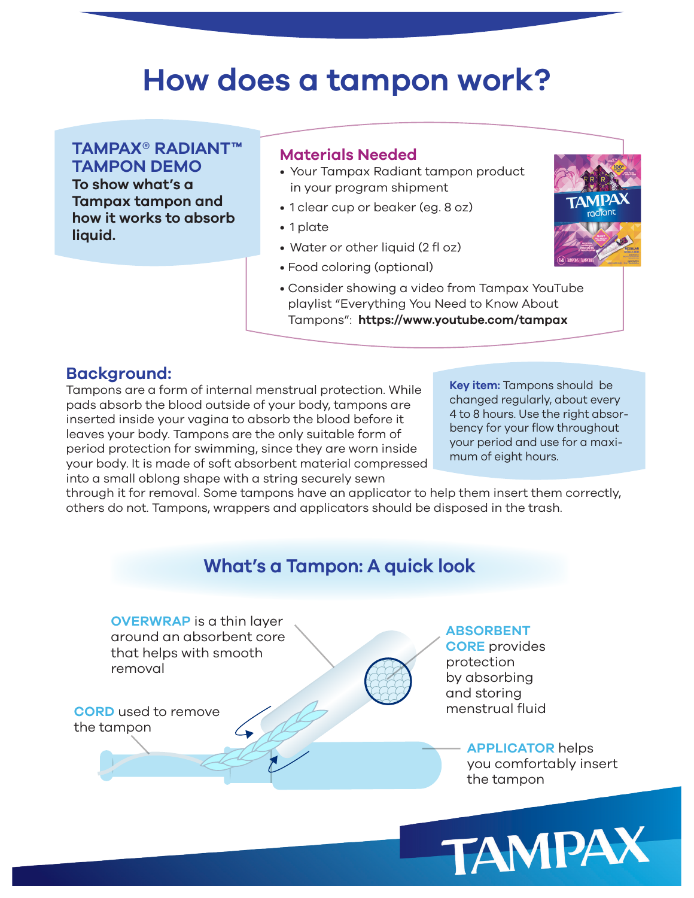## **How does a tampon work?**

**TAMPAX® RADIANT™ TAMPON DEMO To show what's a Tampax tampon and how it works to absorb liquid.**

#### **Materials Needed**

- Your Tampax Radiant tampon product in your program shipment
- 1 clear cup or beaker (eg. 8 oz)
- 1 plate
- Water or other liquid (2 fl oz)
- Food coloring (optional)
- Consider showing a video from Tampax YouTube playlist "Everything You Need to Know About Tampons": **https://www.youtube.com/tampax**



#### **Background:**

Tampons are a form of internal menstrual protection. While pads absorb the blood outside of your body, tampons are inserted inside your vagina to absorb the blood before it leaves your body. Tampons are the only suitable form of period protection for swimming, since they are worn inside your body. It is made of soft absorbent material compressed into a small oblong shape with a string securely sewn

**Key item:** Tampons should be changed regularly, about every 4 to 8 hours. Use the right absorbency for your flow throughout your period and use for a maximum of eight hours.

through it for removal. Some tampons have an applicator to help them insert them correctly, others do not. Tampons, wrappers and applicators should be disposed in the trash.

### **What's a Tampon: A quick look**

**OVERWRAP** is a thin layer around an absorbent core that helps with smooth removal



**ABSORBENT CORE** provides protection by absorbing and storing menstrual fluid

## **APPLICATOR** helps

you comfortably insert the tampon

TAMPAX